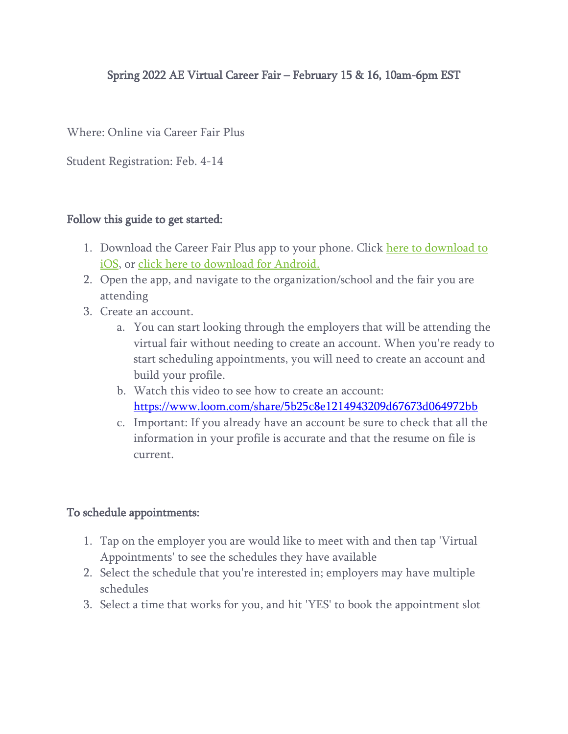# Spring 2022 AE Virtual Career Fair – February 15 & 16, 10am-6pm EST

Where: Online via Career Fair Plus

Student Registration: Feb. 4-14

### Follow this guide to get started:

- 1. Download the Career Fair Plus app to your phone. Click here to download to [iOS,](https://apps.apple.com/us/app/career-fair-plus/id1119153393) or [click here to download for Android.](https://play.google.com/store/apps/details?id=com.careerfairplus.cf_plus)
- 2. Open the app, and navigate to the organization/school and the fair you are attending
- 3. Create an account.
	- a. You can start looking through the employers that will be attending the virtual fair without needing to create an account. When you're ready to start scheduling appointments, you will need to create an account and build your profile.
	- b. Watch this video to see how to create an account: <https://www.loom.com/share/5b25c8e1214943209d67673d064972bb>
	- c. Important: If you already have an account be sure to check that all the information in your profile is accurate and that the resume on file is current.

#### To schedule appointments:

- 1. Tap on the employer you are would like to meet with and then tap 'Virtual Appointments' to see the schedules they have available
- 2. Select the schedule that you're interested in; employers may have multiple schedules
- 3. Select a time that works for you, and hit 'YES' to book the appointment slot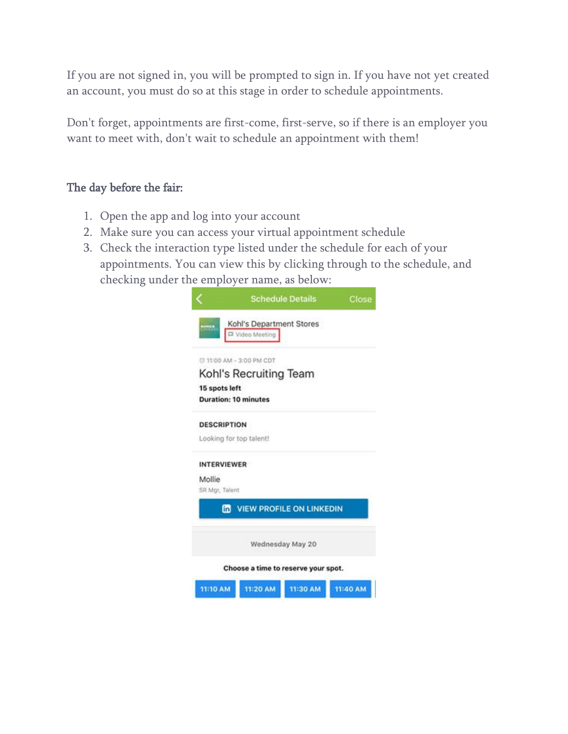If you are not signed in, you will be prompted to sign in. If you have not yet created an account, you must do so at this stage in order to schedule appointments.

Don't forget, appointments are first-come, first-serve, so if there is an employer you want to meet with, don't wait to schedule an appointment with them!

### The day before the fair:

- 1. Open the app and log into your account
- 2. Make sure you can access your virtual appointment schedule
- 3. Check the interaction type listed under the schedule for each of your appointments. You can view this by clicking through to the schedule, and checking under the employer name, as below:

|                             |                                             | <b>Schedule Details</b>             | Close    |
|-----------------------------|---------------------------------------------|-------------------------------------|----------|
| nomin.                      | Kohl's Department Stores<br>D Video Meeting |                                     |          |
|                             | (3 11:00 AM - 3:00 PM CDT                   |                                     |          |
|                             | Kohl's Recruiting Team                      |                                     |          |
| 15 spots left               |                                             |                                     |          |
| <b>Duration: 10 minutes</b> |                                             |                                     |          |
| <b>DESCRIPTION</b>          |                                             |                                     |          |
| Looking for top talent!     |                                             |                                     |          |
| <b>INTERVIEWER</b>          |                                             |                                     |          |
| Mollie                      |                                             |                                     |          |
| SR Mgr, Talent              |                                             |                                     |          |
|                             |                                             | <b>ED VIEW PROFILE ON LINKEDIN</b>  |          |
|                             |                                             | Wednesday May 20                    |          |
|                             |                                             | Choose a time to reserve your spot. |          |
| 11:10 AM                    | 11:20 AM                                    | 11:30 AM                            | 11:40 AM |